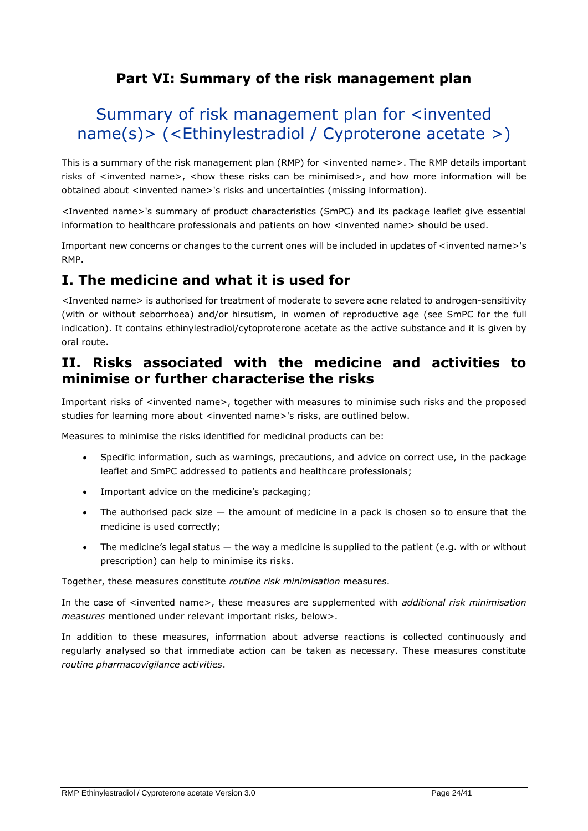## **Part VI: Summary of the risk management plan**

# Summary of risk management plan for <invented name(s)> (<Ethinylestradiol / Cyproterone acetate >)

This is a summary of the risk management plan (RMP) for <invented name>. The RMP details important risks of <invented name>, <how these risks can be minimised>, and how more information will be obtained about <invented name>'s risks and uncertainties (missing information).

<Invented name>'s summary of product characteristics (SmPC) and its package leaflet give essential information to healthcare professionals and patients on how <invented name> should be used.

Important new concerns or changes to the current ones will be included in updates of <invented name>'s RMP.

## **I. The medicine and what it is used for**

<Invented name> is authorised for treatment of moderate to severe acne related to androgen-sensitivity (with or without seborrhoea) and/or hirsutism, in women of reproductive age (see SmPC for the full indication). It contains ethinylestradiol/cytoproterone acetate as the active substance and it is given by oral route.

### **II. Risks associated with the medicine and activities to minimise or further characterise the risks**

Important risks of <invented name>, together with measures to minimise such risks and the proposed studies for learning more about <invented name>'s risks, are outlined below.

Measures to minimise the risks identified for medicinal products can be:

- Specific information, such as warnings, precautions, and advice on correct use, in the package leaflet and SmPC addressed to patients and healthcare professionals;
- Important advice on the medicine's packaging;
- The authorised pack size  $-$  the amount of medicine in a pack is chosen so to ensure that the medicine is used correctly;
- The medicine's legal status the way a medicine is supplied to the patient (e.g. with or without prescription) can help to minimise its risks.

Together, these measures constitute *routine risk minimisation* measures.

In the case of <invented name>, these measures are supplemented with *additional risk minimisation measures* mentioned under relevant important risks, below>.

In addition to these measures, information about adverse reactions is collected continuously and regularly analysed so that immediate action can be taken as necessary. These measures constitute *routine pharmacovigilance activities*.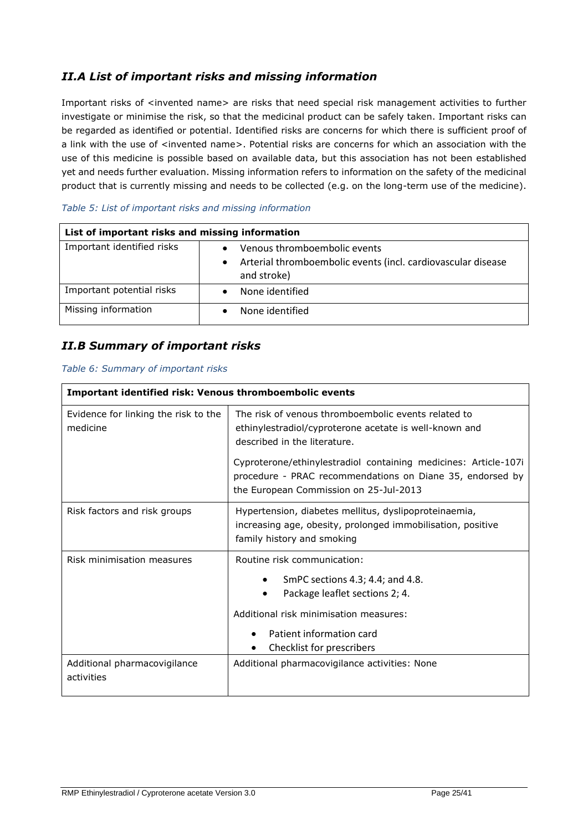### *II.A List of important risks and missing information*

Important risks of <invented name> are risks that need special risk management activities to further investigate or minimise the risk, so that the medicinal product can be safely taken. Important risks can be regarded as identified or potential. Identified risks are concerns for which there is sufficient proof of a link with the use of <invented name>. Potential risks are concerns for which an association with the use of this medicine is possible based on available data, but this association has not been established yet and needs further evaluation. Missing information refers to information on the safety of the medicinal product that is currently missing and needs to be collected (e.g. on the long-term use of the medicine).

| List of important risks and missing information |                                                                                                                  |  |
|-------------------------------------------------|------------------------------------------------------------------------------------------------------------------|--|
| Important identified risks                      | Venous thromboembolic events<br>Arterial thromboembolic events (incl. cardiovascular disease<br>٠<br>and stroke) |  |
| Important potential risks                       | None identified                                                                                                  |  |
| Missing information                             | None identified                                                                                                  |  |

#### *Table 5: List of important risks and missing information*

#### *II.B Summary of important risks*

#### *Table 6: Summary of important risks*

| <b>Important identified risk: Venous thromboembolic events</b> |                                                                                                                                                                                                                        |  |
|----------------------------------------------------------------|------------------------------------------------------------------------------------------------------------------------------------------------------------------------------------------------------------------------|--|
| Evidence for linking the risk to the<br>medicine               | The risk of venous thromboembolic events related to<br>ethinylestradiol/cyproterone acetate is well-known and<br>described in the literature.                                                                          |  |
|                                                                | Cyproterone/ethinylestradiol containing medicines: Article-107i<br>procedure - PRAC recommendations on Diane 35, endorsed by<br>the European Commission on 25-Jul-2013                                                 |  |
| Risk factors and risk groups                                   | Hypertension, diabetes mellitus, dyslipoproteinaemia,<br>increasing age, obesity, prolonged immobilisation, positive<br>family history and smoking                                                                     |  |
| Risk minimisation measures                                     | Routine risk communication:<br>SmPC sections 4.3; 4.4; and 4.8.<br>٠<br>Package leaflet sections 2; 4.<br>$\bullet$<br>Additional risk minimisation measures:<br>Patient information card<br>Checklist for prescribers |  |
| Additional pharmacovigilance<br>activities                     | Additional pharmacovigilance activities: None                                                                                                                                                                          |  |